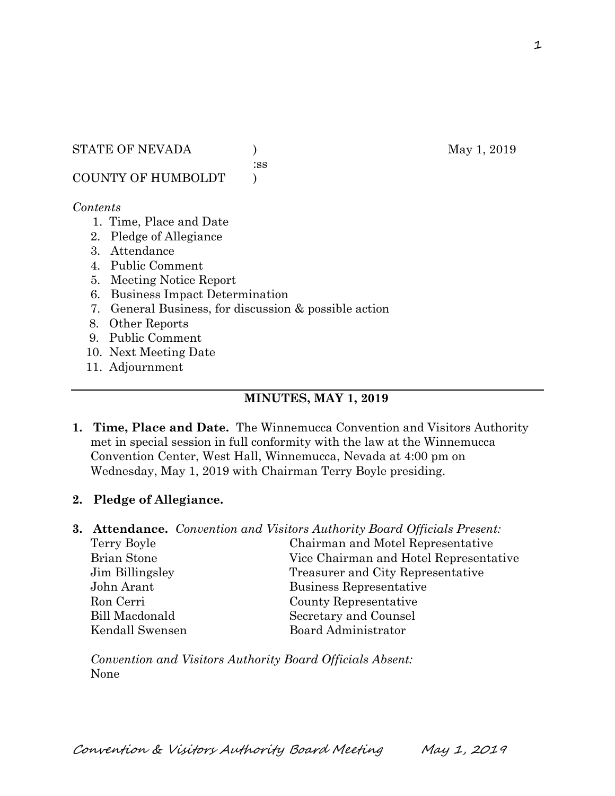#### STATE OF NEVADA ) May 1, 2019

:ss

COUNTY OF HUMBOLDT )

#### *Contents*

- 1. Time, Place and Date
- 2. Pledge of Allegiance
- 3. Attendance
- 4. Public Comment
- 5. Meeting Notice Report
- 6. Business Impact Determination
- 7. General Business, for discussion & possible action
- 8. Other Reports
- 9. Public Comment
- 10. Next Meeting Date
- 11. Adjournment

# **MINUTES, MAY 1, 2019**

- **1. Time, Place and Date.** The Winnemucca Convention and Visitors Authority met in special session in full conformity with the law at the Winnemucca Convention Center, West Hall, Winnemucca, Nevada at 4:00 pm on Wednesday, May 1, 2019 with Chairman Terry Boyle presiding.
- **2. Pledge of Allegiance.**
- **3. Attendance.** *Convention and Visitors Authority Board Officials Present:* 
	- Terry Boyle Chairman and Motel Representative Brian Stone Vice Chairman and Hotel Representative Jim Billingsley Treasurer and City Representative John Arant Business Representative Ron Cerri County Representative Bill Macdonald Secretary and Counsel Kendall Swensen Board Administrator

*Convention and Visitors Authority Board Officials Absent:*  None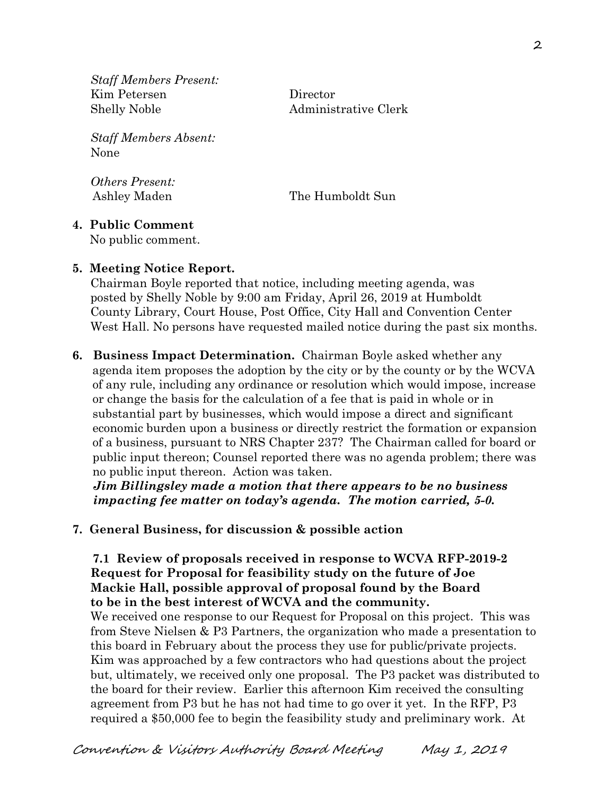*Staff Members Present:*  Kim Petersen Director Shelly Noble Administrative Clerk

*Staff Members Absent:*  None

*Others Present:* 

Ashley Maden The Humboldt Sun

#### **4. Public Comment**

No public comment.

## **5. Meeting Notice Report.**

Chairman Boyle reported that notice, including meeting agenda, was posted by Shelly Noble by 9:00 am Friday, April 26, 2019 at Humboldt County Library, Court House, Post Office, City Hall and Convention Center West Hall. No persons have requested mailed notice during the past six months.

**6. Business Impact Determination.** Chairman Boyle asked whether any agenda item proposes the adoption by the city or by the county or by the WCVA of any rule, including any ordinance or resolution which would impose, increase or change the basis for the calculation of a fee that is paid in whole or in substantial part by businesses, which would impose a direct and significant economic burden upon a business or directly restrict the formation or expansion of a business, pursuant to NRS Chapter 237? The Chairman called for board or public input thereon; Counsel reported there was no agenda problem; there was no public input thereon. Action was taken.

 *Jim Billingsley made a motion that there appears to be no business impacting fee matter on today's agenda. The motion carried, 5-0.* 

# **7. General Business, for discussion & possible action**

 **7.1 Review of proposals received in response to WCVA RFP-2019-2 Request for Proposal for feasibility study on the future of Joe Mackie Hall, possible approval of proposal found by the Board to be in the best interest of WCVA and the community.** 

We received one response to our Request for Proposal on this project. This was from Steve Nielsen & P3 Partners, the organization who made a presentation to this board in February about the process they use for public/private projects. Kim was approached by a few contractors who had questions about the project but, ultimately, we received only one proposal. The P3 packet was distributed to the board for their review. Earlier this afternoon Kim received the consulting agreement from P3 but he has not had time to go over it yet. In the RFP, P3 required a \$50,000 fee to begin the feasibility study and preliminary work. At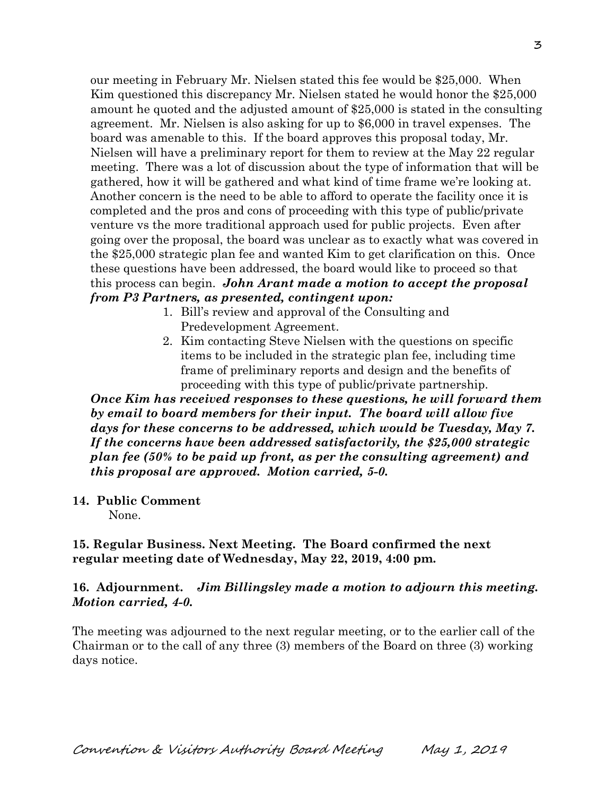our meeting in February Mr. Nielsen stated this fee would be \$25,000. When Kim questioned this discrepancy Mr. Nielsen stated he would honor the \$25,000 amount he quoted and the adjusted amount of \$25,000 is stated in the consulting agreement. Mr. Nielsen is also asking for up to \$6,000 in travel expenses. The board was amenable to this. If the board approves this proposal today, Mr. Nielsen will have a preliminary report for them to review at the May 22 regular meeting. There was a lot of discussion about the type of information that will be gathered, how it will be gathered and what kind of time frame we're looking at. Another concern is the need to be able to afford to operate the facility once it is completed and the pros and cons of proceeding with this type of public/private venture vs the more traditional approach used for public projects. Even after going over the proposal, the board was unclear as to exactly what was covered in the \$25,000 strategic plan fee and wanted Kim to get clarification on this. Once these questions have been addressed, the board would like to proceed so that this process can begin. *John Arant made a motion to accept the proposal from P3 Partners, as presented, contingent upon:* 

- 1. Bill's review and approval of the Consulting and Predevelopment Agreement.
- 2. Kim contacting Steve Nielsen with the questions on specific items to be included in the strategic plan fee, including time frame of preliminary reports and design and the benefits of proceeding with this type of public/private partnership.

*Once Kim has received responses to these questions, he will forward them by email to board members for their input. The board will allow five days for these concerns to be addressed, which would be Tuesday, May 7. If the concerns have been addressed satisfactorily, the \$25,000 strategic plan fee (50% to be paid up front, as per the consulting agreement) and this proposal are approved. Motion carried, 5-0.* 

**14. Public Comment** 

None.

## **15. Regular Business. Next Meeting. The Board confirmed the next regular meeting date of Wednesday, May 22, 2019, 4:00 pm.**

## **16. Adjournment.** *Jim Billingsley made a motion to adjourn this meeting. Motion carried, 4-0.*

The meeting was adjourned to the next regular meeting, or to the earlier call of the Chairman or to the call of any three (3) members of the Board on three (3) working days notice.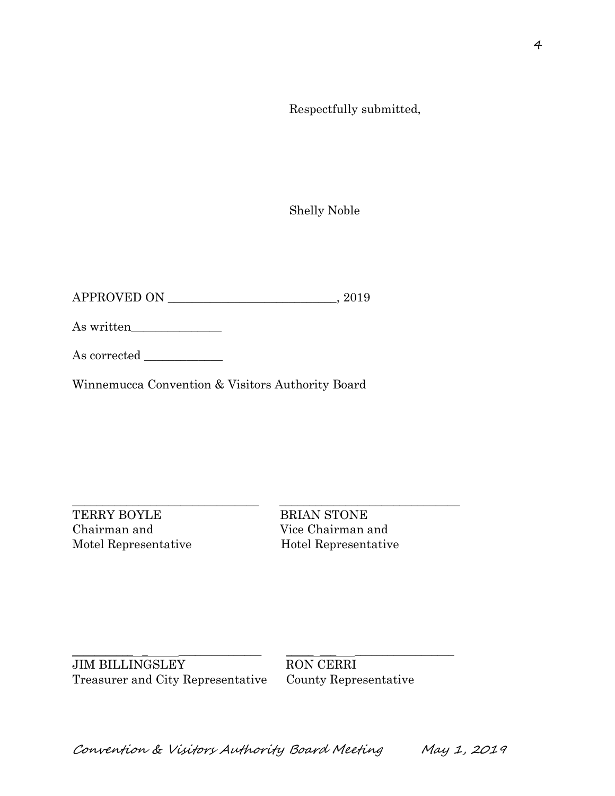Respectfully submitted,

Shelly Noble

APPROVED ON \_\_\_\_\_\_\_\_\_\_\_\_\_\_\_\_\_\_\_\_\_\_\_\_\_\_\_\_, 2019

As written\_\_\_\_\_\_\_\_\_\_\_\_\_\_\_

As corrected \_\_\_\_\_\_\_\_\_\_\_\_\_

Winnemucca Convention & Visitors Authority Board

 $\_$  ,  $\_$  ,  $\_$  ,  $\_$  ,  $\_$  ,  $\_$  ,  $\_$  ,  $\_$  ,  $\_$  ,  $\_$  ,  $\_$  ,  $\_$  ,  $\_$  ,  $\_$  ,  $\_$  ,  $\_$  ,  $\_$  ,  $\_$  ,  $\_$  ,  $\_$  ,  $\_$  ,  $\_$  ,  $\_$  ,  $\_$  ,  $\_$  ,  $\_$  ,  $\_$  ,  $\_$  ,  $\_$  ,  $\_$  ,  $\_$  ,  $\_$  ,  $\_$  ,  $\_$  ,  $\_$  ,  $\_$  ,  $\_$  , TERRY BOYLE BRIAN STONE Chairman and Vice Chairman and

Motel Representative Hotel Representative

\_\_\_\_\_\_\_\_\_\_\_ \_ \_\_\_\_\_\_\_\_\_\_\_\_\_\_\_ \_\_\_\_\_ \_\_\_ \_\_\_\_\_\_\_\_\_\_\_\_\_\_\_\_\_\_ JIM BILLINGSLEY RON CERRI Treasurer and City Representative County Representative

Convention & Visitors Authority Board Meeting May 1, 2019